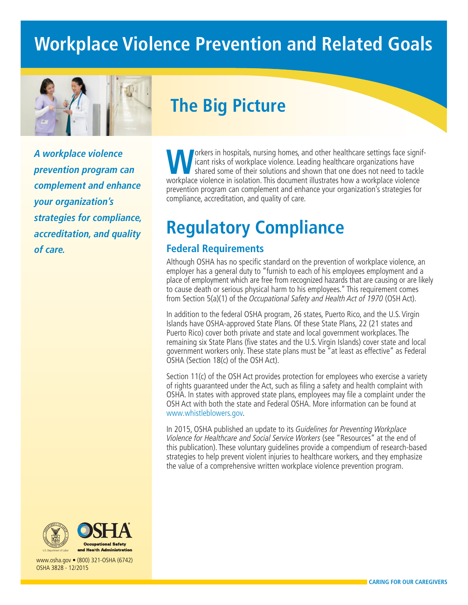# **Workplace Violence Prevention and Related Goals**



# **The Big Picture**

*A workplace violence prevention program can complement and enhance your organization's strategies for compliance, accreditation, and quality of care.*

**Workers in hospitals, nursing homes, and other healthcare settings face significant risks of workplace violence. Leading healthcare organizations have<br>shared some of their solutions and shown that one does not need to tac** icant risks of workplace violence. Leading healthcare organizations have shared some of their solutions and shown that one does not need to tackle workplace violence in isolation. This document illustrates how a workplace violence prevention program can complement and enhance your organization's strategies for compliance, accreditation, and quality of care.

# **Regulatory Compliance**

## **Federal Requirements**

Although OSHA has no specific standard on the prevention of workplace violence, an employer has a general duty to "furnish to each of his employees employment and a place of employment which are free from recognized hazards that are causing or are likely to cause death or serious physical harm to his employees." This requirement comes from Section 5(a)(1) of the Occupational Safety and Health Act of 1970 (OSH Act).

In addition to the federal OSHA program, 26 states, Puerto Rico, and the U.S. Virgin Islands have OSHA-approved State Plans. Of these State Plans, 22 (21 states and Puerto Rico) cover both private and state and local government workplaces. The remaining six State Plans (five states and the U.S. Virgin Islands) cover state and local government workers only. These state plans must be "at least as effective" as Federal OSHA (Section 18(c) of the OSH Act).

Section 11(c) of the OSH Act provides protection for employees who exercise a variety of rights guaranteed under the Act, such as filing a safety and health complaint with OSHA. In states with approved state plans, employees may file a complaint under the OSH Act with both the state and Federal OSHA. More information can be found at [www.whistleblowers.gov.](http://www.whistleblowers.gov)

In 2015, OSHA published an update to its Guidelines for Preventing Workplace Violence for Healthcare and Social Service Workers (see "Resources" at the end of this publication). These voluntary guidelines provide a compendium of research-based strategies to help prevent violent injuries to healthcare workers, and they emphasize the value of a comprehensive written workplace violence prevention program.





www.osha.gov • (800) 321-OSHA (6742) OSHA 3828 - 12/2015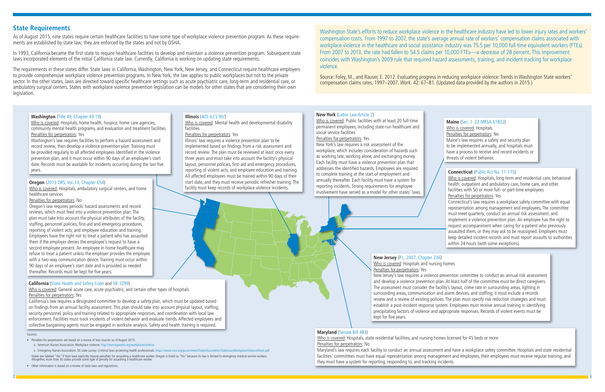## **State Requirements**

As of August 2015, nine states require certain healthcare facilities to have some type of workplace violence prevention program. As these requirements are established by state law, they are enforced by the states and not by OSHA.

The requirements in these states differ. State laws in California, Washington, New York, New Jersey, and Connecticut require healthcare employers to provide comprehensive workplace violence prevention programs. In New York, the law applies to public workplaces but not to the private sector. In the other states, laws are directed toward specific healthcare settings such as acute psychiatric care, long-term and residential care, or ambulatory surgical centers. States with workplace violence prevention legislation can be models for other states that are considering their own legislation.

In 1993, California became the first state to require healthcare facilities to develop and maintain a violence prevention program. Subsequent state laws incorporated elements of the initial California state law. Currently, California is working on updating state requirements.

Washington State's efforts to reduce workplace violence in the healthcare industry have led to lower injury rates and workers' compensation costs. From 1997 to 2007, the state's average annual rate of workers' compensation claims associated with workplace violence in the healthcare and social assistance industry was 75.5 per 10,000 full-time equivalent workers (FTEs). From 2007 to 2013, the rate had fallen to 54.5 claims per 10,000 FTEs—a decrease of 28 percent. This improvement coincides with Washington's 2009 rule that required hazard assessments, training, and incident tracking for workplace violence.

Source: Foley, M., and Rauser, E. 2012. Evaluating progress in reducing workplace violence: Trends in Washington State workers' compensation claims rates, 1997–2007. Work. 42: 67–81. (Updated data provided by the authors in 2015.)

## **Maine** [\(Sec. 1. 22 MRSA §1832\)](http://www.mainelegislature.org/legis/bills/bills_125th/chapters/PUBLIC254.asp)

Who is covered: Hospitals Penalties for perpetrators: No Maine's law requires a safety and security plan to be implemented annually, and hospitals must have a process to receive and record incidents or threats of violent behavior.

#### **California** ([State Health and Safety Code](http://www.leginfo.ca.gov/pub/93-94/bill/asm/ab_0501-0550/ab_508_bill_931008_chaptered) and [SB-1299](http://leginfo.legislature.ca.gov/faces/billNavClient.xhtml?bill_id=201320140SB1299))

Who is covered: General acute care, acute psychiatric, and certain other types of hospitals Penalties for perpetrators: Yes

California's law requires a designated committee to develop a safety plan, which must be updated based on findings from an annual facility assessment. This plan should take into account physical layout, staffing, security personnel, policy and training related to appropriate responses, and coordination with local law enforcement. Facilities must track incidents of violent behavior and evaluate trends. Affected employees and collective bargaining agents must be engaged in worksite analysis. Safety and health training is required.

## **Connecticut** ([Public Act No. 11-175](http://www.cga.ct.gov/2011/ACT/PA/2011PA-00175-R00SB-00970-PA.htm))

Who is covered: Hospitals, long-term and residential care, behavioral health, outpatient and ambulatory care, home care, and other facilities with 50 or more full- or part-time employees Penalties for perpetrators: Yes

Connecticut's law requires a workplace safety committee with equal representation among management and employees. The committee must meet quarterly, conduct an annual risk assessment, and implement a violence prevention plan. An employee has the right to request accompaniment when caring for a patient who previously assaulted them, or they may ask to be reassigned. Employers must keep detailed incident records and must report assaults to authorities within 24 hours (with some exceptions).

#### **Washington** ([Title 49, Chapter 49.19\)](http://app.leg.wa.gov/rcw/default.aspx?cite=49.19)

Who is covered: Hospitals, home health, hospice, home care agencies, community mental health programs, and evaluation and treatment facilities Penalties for perpetrators: Yes

o Emergency Nurses Association. 50 state survey: Criminal laws protecting health professionals. <https://www.ena.org/government/State/Documents/StateLawsWorkplaceViolenceSheet.pdf>. States are labeled "Yes" if their laws explicitly impose penalties for assaulting a healthcare worker. Oregon is listed as "No" because its law is limited to emergency medical service workers.<br>Altogether, more than 30 stat

Washington's law requires facilities to perform a hazard assessment and record review, then develop a violence prevention plan. Training must be provided regularly to all affected employees identified in the violence prevention plan, and it must occur within 90 days of an employee's start date. Records must be available for incidents occurring during the last five years.

## **Oregon** [\(2013 ORS, Vol. 14, Chapter 654](http://www.oregonlaws.org/ors/654.412))

Who is covered: Hospitals, ambulatory surgical centers, and home healthcare services

Penalties for perpetrators: No

Oregon's law requires periodic hazard assessments and record reviews, which must feed into a violence prevention plan. The plan must take into account the physical attributes of the facility, staffing, personnel policies, first-aid and emergency procedures, reporting of violent acts, and employee education and training. Employees have the right not to treat a patient who has assaulted them if the employer denies the employee's request to have a second employee present. An employee in home healthcare may refuse to treat a patient unless the employer provides the employee with a two-way communication device. Training must occur within 90 days of an employee's start date and is provided as needed thereafter. Records must be kept for five years.

## **Maryland** ([Senate Bill 483](http://mgaleg.maryland.gov/2014RS/bills/sb/sb0483t.pdf))

Who is covered: Hospitals, state residential facilities, and nursing homes licensed for 45 beds or more Penalties for perpetrators: No

Maryland's law requires each facility to conduct an annual assessment and have a workplace safety committee. Hospitals and state residential facilities' committees must have equal representation among management and employees, their employees must receive regular training, and they must have a system for reporting, responding to, and tracking incidents.

## **New Jersey** ([P.L. 2007, Chapter 236](ftp://www.njleg.state.nj.us/20062007/PL07/236_.PDF))

Who is covered: Hospitals and nursing homes Penalties for perpetrators: Yes New Jersey's law requires a violence prevention committee to conduct an annual risk assessment and develop a violence prevention plan. At least half of the committee must be direct caregivers. The assessment must consider the facility's layout, crime rate in surrounding areas, lighting in surrounding areas, communication and alarm devices, and staffing; it must include a records review and a review of existing policies. The plan must specify risk reduction strategies and must establish a post-incident response system. Employees must receive annual training in identifying precipitating factors of violence and appropriate responses. Records of violent events must be kept for five years.

## **New York** (Labor Law Article 2)

Who is covered: Public facilities with at least 20 full-time permanent employees, including state-run healthcare and social service facilities

## Penalties for perpetrators: Yes

New York's law requires a risk assessment of the workplace, which includes consideration of hazards such as working late, working alone, and exchanging money. Each facility must have a violence prevention plan that addresses the identified hazards. Employees are required to complete training at the start of employment and annually thereafter. Each facility must have a system for reporting incidents. Strong requirements for employee involvement have served as a model for other states' laws.

#### **Illinois** ([405 ILCS 90/\)](http://www.ilga.gov/legislation/ilcs/ilcs3.asp?ActID=2719&ChapterID=34)

Who is covered: Mental health and developmental disability facilities

## Penalties for perpetrators: Yes

Illinois' law requires a violence prevention plan to be implemented based on findings from a risk assessment and record review. The plan must be reviewed at least once every three years and must take into account the facility's physical layout, personnel policies, first-aid and emergency procedures, reporting of violent acts, and employee education and training. All affected employees must be trained within 90 days of their start date, and they must receive periodic refresher training. The facility must keep records of workplace violence incidents.

#### Sources:

- Penalties for perpetrators are based on a review of two sources as of August 2015:
- o American Nurses Association. Workplace violence.<http://nursingworld.org/workplaceviolence>.

• Other information is based on a review of state laws and regulations.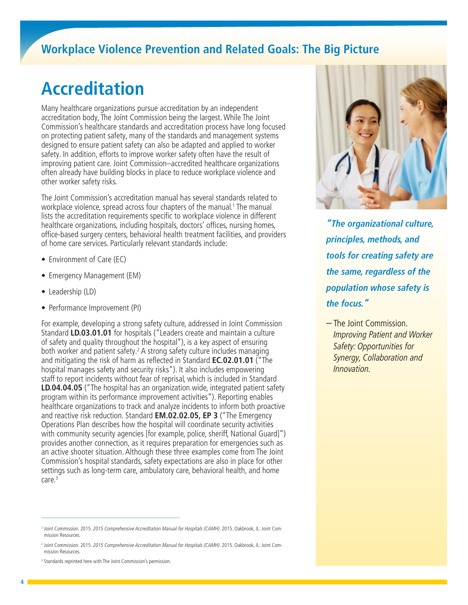# **Accreditation**

Many healthcare organizations pursue accreditation by an independent accreditation body, The Joint Commission being the largest. While The Joint Commission's healthcare standards and accreditation process have long focused on protecting patient safety, many of the standards and management systems designed to ensure patient safety can also be adapted and applied to worker safety. In addition, efforts to improve worker safety often have the result of improving patient care. Joint Commission–accredited healthcare organizations often already have building blocks in place to reduce workplace violence and other worker safety risks.

The Joint Commission's accreditation manual has several standards related to workplace violence, spread across four chapters of the manual.<sup>1</sup> The manual lists the accreditation requirements specific to workplace violence in different healthcare organizations, including hospitals, doctors' offices, nursing homes, office-based surgery centers, behavioral health treatment facilities, and providers of home care services. Particularly relevant standards include:

- Environment of Care (EC)
- Emergency Management (EM)
- Leadership (LD)
- Performance Improvement (PI)

For example, developing a strong safety culture, addressed in Joint Commission Standard **LD.03.01.01** for hospitals ("Leaders create and maintain a culture of safety and quality throughout the hospital"), is a key aspect of ensuring both worker and patient safety.<sup>2</sup> A strong safety culture includes managing and mitigating the risk of harm as reflected in Standard **EC.02.01.01** ("The hospital manages safety and security risks"). It also includes empowering staff to report incidents without fear of reprisal, which is included in Standard **LD.04.04.05** ("The hospital has an organization wide, integrated patient safety program within its performance improvement activities"). Reporting enables healthcare organizations to track and analyze incidents to inform both proactive and reactive risk reduction. Standard **EM.02.02.05, EP 3** ("The Emergency Operations Plan describes how the hospital will coordinate security activities with community security agencies [for example, police, sheriff, National Guard]") provides another connection, as it requires preparation for emergencies such as an active shooter situation. Although these three examples come from The Joint Commission's hospital standards, safety expectations are also in place for other settings such as long-term care, ambulatory care, behavioral health, and home care.3



*"The organizational culture, principles, methods, and tools for creating safety are the same, regardless of the population whose safety is the focus."*

– The Joint Commission. Improving Patient and Worker Safety: Opportunities for Synergy, Collaboration and Innovation.

<sup>&</sup>lt;sup>1</sup> Joint Commission. 2015. 2015 Comprehensive Accreditation Manual for Hospitals (CAMH). 2015. Oakbrook, IL: Joint Commission Resources.

<sup>&</sup>lt;sup>2</sup> Joint Commission. 2015. 2015 Comprehensive Accreditation Manual for Hospitals (CAMH). 2015. Oakbrook, IL: Joint Commission Resources.

<sup>&</sup>lt;sup>3</sup> Standards reprinted here with The Joint Commission's permission.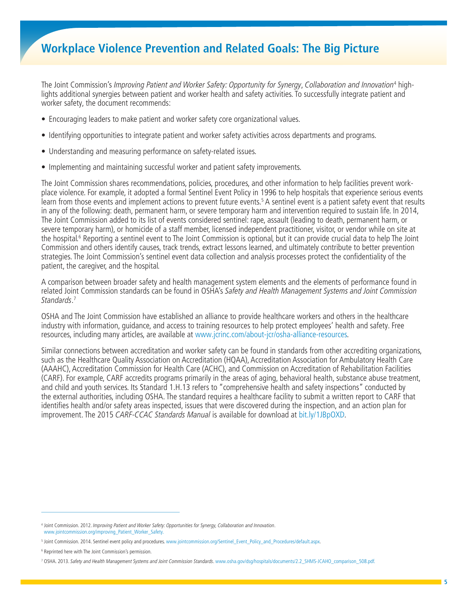The Joint Commission's Improving Patient and Worker Safety: Opportunity for Synergy, Collaboration and Innovation<sup>4</sup> highlights additional synergies between patient and worker health and safety activities. To successfully integrate patient and worker safety, the document recommends:

- Encouraging leaders to make patient and worker safety core organizational values.
- Identifying opportunities to integrate patient and worker safety activities across departments and programs.
- Understanding and measuring performance on safety-related issues.
- Implementing and maintaining successful worker and patient safety improvements.

The Joint Commission shares recommendations, policies, procedures, and other information to help facilities prevent workplace violence. For example, it adopted a formal Sentinel Event Policy in 1996 to help hospitals that experience serious events learn from those events and implement actions to prevent future events.<sup>5</sup> A sentinel event is a patient safety event that results in any of the following: death, permanent harm, or severe temporary harm and intervention required to sustain life. In 2014, The Joint Commission added to its list of events considered sentinel: rape, assault (leading to death, permanent harm, or severe temporary harm), or homicide of a staff member, licensed independent practitioner, visitor, or vendor while on site at the hospital.<sup>6</sup> Reporting a sentinel event to The Joint Commission is optional, but it can provide crucial data to help The Joint Commission and others identify causes, track trends, extract lessons learned, and ultimately contribute to better prevention strategies. The Joint Commission's sentinel event data collection and analysis processes protect the confidentiality of the patient, the caregiver, and the hospital.

A comparison between broader safety and health management system elements and the elements of performance found in related Joint Commission standards can be found in OSHA's Safety and Health Management Systems and Joint Commission Standards. 7

OSHA and The Joint Commission have established an alliance to provide healthcare workers and others in the healthcare industry with information, guidance, and access to training resources to help protect employees' health and safety. Free resources, including many articles, are available at [www.jcrinc.com/about-jcr/osha-alliance-resources](http://www.jcrinc.com/about-jcr/osha-alliance-resources/).

Similar connections between accreditation and worker safety can be found in standards from other accrediting organizations, such as the Healthcare Quality Association on Accreditation (HQAA), Accreditation Association for Ambulatory Health Care (AAAHC), Accreditation Commission for Health Care (ACHC), and Commission on Accreditation of Rehabilitation Facilities (CARF). For example, CARF accredits programs primarily in the areas of aging, behavioral health, substance abuse treatment, and child and youth services. Its Standard 1.H.13 refers to "comprehensive health and safety inspections" conducted by the external authorities, including OSHA. The standard requires a healthcare facility to submit a written report to CARF that identifies health and/or safety areas inspected, issues that were discovered during the inspection, and an action plan for improvement. The 2015 CARF-CCAC Standards Manual is available for download at [bit.ly/1JBpOXD.](http://bit.ly/1JBpOXD)

<sup>4</sup> Joint Commission. 2012. Improving Patient and Worker Safety: Opportunities for Synergy, Collaboration and Innovation. [www.jointcommission.org/improving\\_Patient\\_Worker\\_Safety.](http://www.jointcommission.org/improving_Patient_Worker_Safety)

<sup>5</sup> Joint Commission. 2014. Sentinel event policy and procedures. [www.jointcommission.org/Sentinel\\_Event\\_Policy\\_and\\_Procedures/default.aspx](http://www.jointcommission.org/Sentinel_Event_Policy_and_Procedures/default.aspx).

<sup>6</sup> Reprinted here with The Joint Commission's permission.

<sup>&</sup>lt;sup>7</sup> OSHA. 2013. Safety and Health Management Systems and Joint Commission Standards. www.osha.gov/dsg/hospitals/documents/2.2\_SHMS-JCAHO\_comparison\_508.pdf.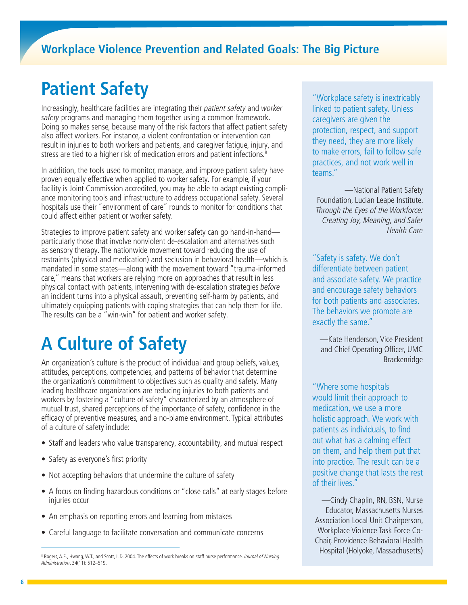# **Patient Safety**

Increasingly, healthcare facilities are integrating their patient safety and worker safety programs and managing them together using a common framework. Doing so makes sense, because many of the risk factors that affect patient safety also affect workers. For instance, a violent confrontation or intervention can result in injuries to both workers and patients, and caregiver fatigue, injury, and stress are tied to a higher risk of medication errors and patient infections.<sup>8</sup>

In addition, the tools used to monitor, manage, and improve patient safety have proven equally effective when applied to worker safety. For example, if your facility is Joint Commission accredited, you may be able to adapt existing compliance monitoring tools and infrastructure to address occupational safety. Several hospitals use their "environment of care" rounds to monitor for conditions that could affect either patient or worker safety.

Strategies to improve patient safety and worker safety can go hand-in-hand particularly those that involve nonviolent de-escalation and alternatives such as sensory therapy. The nationwide movement toward reducing the use of restraints (physical and medication) and seclusion in behavioral health—which is mandated in some states—along with the movement toward "trauma-informed care," means that workers are relying more on approaches that result in less physical contact with patients, intervening with de-escalation strategies before an incident turns into a physical assault, preventing self-harm by patients, and ultimately equipping patients with coping strategies that can help them for life. The results can be a "win-win" for patient and worker safety.

# **A Culture of Safety**

An organization's culture is the product of individual and group beliefs, values, attitudes, perceptions, competencies, and patterns of behavior that determine the organization's commitment to objectives such as quality and safety. Many leading healthcare organizations are reducing injuries to both patients and workers by fostering a "culture of safety" characterized by an atmosphere of mutual trust, shared perceptions of the importance of safety, confidence in the efficacy of preventive measures, and a no-blame environment. Typical attributes of a culture of safety include:

- Staff and leaders who value transparency, accountability, and mutual respect
- Safety as everyone's first priority
- Not accepting behaviors that undermine the culture of safety
- A focus on finding hazardous conditions or "close calls" at early stages before injuries occur
- An emphasis on reporting errors and learning from mistakes
- Careful language to facilitate conversation and communicate concerns

"Workplace safety is inextricably linked to patient safety. Unless caregivers are given the protection, respect, and support they need, they are more likely to make errors, fail to follow safe practices, and not work well in teams."

—National Patient Safety Foundation, Lucian Leape Institute. Through the Eyes of the Workforce: Creating Joy, Meaning, and Safer Health Care

"Safety is safety. We don't differentiate between patient and associate safety. We practice and encourage safety behaviors for both patients and associates. The behaviors we promote are exactly the same."

—Kate Henderson, Vice President and Chief Operating Officer, UMC Brackenridge

"Where some hospitals would limit their approach to medication, we use a more holistic approach. We work with patients as individuals, to find out what has a calming effect on them, and help them put that into practice. The result can be a positive change that lasts the rest of their lives."

—Cindy Chaplin, RN, BSN, Nurse Educator, Massachusetts Nurses Association Local Unit Chairperson, Workplace Violence Task Force Co-Chair, Providence Behavioral Health

<sup>&</sup>lt;sup>8</sup> Rogers, A.E., Hwang, W.T., and Scott, L.D. 2004. The effects of work breaks on staff nurse performance. Journal of Nursing **Hospital (Holyoke, Massachusetts)** Administration. 34(11): 512–519.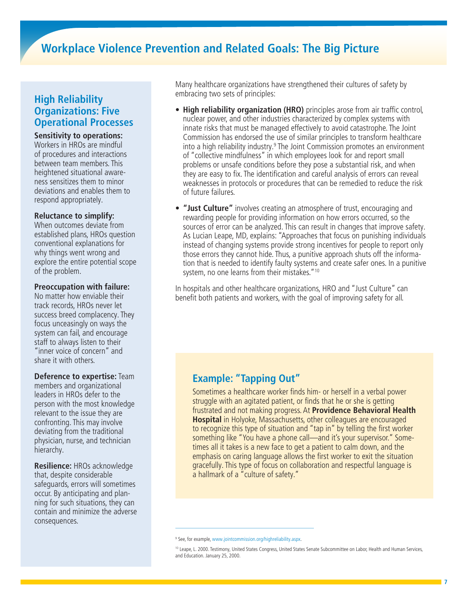## **High Reliability Organizations: Five Operational Processes**

**Sensitivity to operations:** 

Workers in HROs are mindful of procedures and interactions between team members. This heightened situational awareness sensitizes them to minor deviations and enables them to respond appropriately.

## **Reluctance to simplify:**

When outcomes deviate from established plans, HROs question conventional explanations for why things went wrong and explore the entire potential scope of the problem.

## **Preoccupation with failure:**

No matter how enviable their track records, HROs never let success breed complacency. They focus unceasingly on ways the system can fail, and encourage staff to always listen to their "inner voice of concern" and share it with others.

#### **Deference to expertise:** Team members and organizational

leaders in HROs defer to the person with the most knowledge relevant to the issue they are confronting. This may involve deviating from the traditional physician, nurse, and technician hierarchy.

**Resilience:** HROs acknowledge that, despite considerable safeguards, errors will sometimes occur. By anticipating and planning for such situations, they can contain and minimize the adverse consequences.

Many healthcare organizations have strengthened their cultures of safety by embracing two sets of principles:

- **High reliability organization (HRO)** principles arose from air traffic control, nuclear power, and other industries characterized by complex systems with innate risks that must be managed effectively to avoid catastrophe. The Joint Commission has endorsed the use of similar principles to transform healthcare into a high reliability industry.<sup>9</sup> The Joint Commission promotes an environment of "collective mindfulness" in which employees look for and report small problems or unsafe conditions before they pose a substantial risk, and when they are easy to fix. The identification and careful analysis of errors can reveal weaknesses in protocols or procedures that can be remedied to reduce the risk of future failures.
- **"Just Culture"** involves creating an atmosphere of trust, encouraging and rewarding people for providing information on how errors occurred, so the sources of error can be analyzed. This can result in changes that improve safety. As Lucian Leape, MD, explains: "Approaches that focus on punishing individuals instead of changing systems provide strong incentives for people to report only those errors they cannot hide. Thus, a punitive approach shuts off the information that is needed to identify faulty systems and create safer ones. In a punitive system, no one learns from their mistakes."<sup>10</sup>

In hospitals and other healthcare organizations, HRO and "Just Culture" can benefit both patients and workers, with the goal of improving safety for all.

## **Example: "Tapping Out"**

Sometimes a healthcare worker finds him- or herself in a verbal power struggle with an agitated patient, or finds that he or she is getting frustrated and not making progress. At **Providence Behavioral Health Hospital** in Holyoke, Massachusetts, other colleagues are encouraged to recognize this type of situation and "tap in" by telling the first worker something like "You have a phone call—and it's your supervisor." Sometimes all it takes is a new face to get a patient to calm down, and the emphasis on caring language allows the first worker to exit the situation gracefully. This type of focus on collaboration and respectful language is a hallmark of a "culture of safety."

<sup>9</sup> See, for example, [www.jointcommission.org/highreliability.aspx](http://www.jointcommission.org/highreliability.aspx).

<sup>&</sup>lt;sup>10</sup> Leape, L. 2000. Testimony, United States Congress, United States Senate Subcommittee on Labor, Health and Human Services, and Education. January 25, 2000.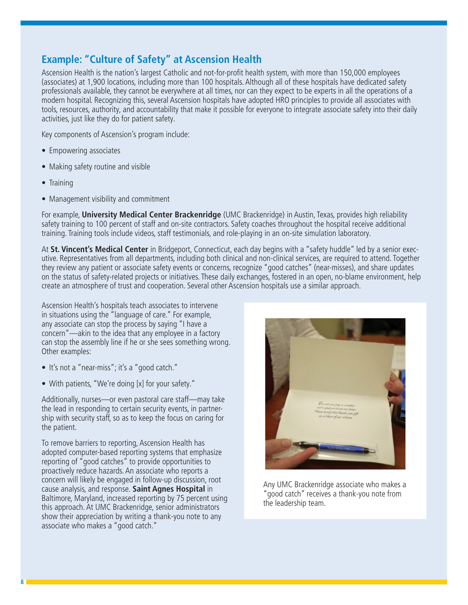## **Example: "Culture of Safety" at Ascension Health**

Ascension Health is the nation's largest Catholic and not-for-profit health system, with more than 150,000 employees (associates) at 1,900 locations, including more than 100 hospitals. Although all of these hospitals have dedicated safety professionals available, they cannot be everywhere at all times, nor can they expect to be experts in all the operations of a modern hospital. Recognizing this, several Ascension hospitals have adopted HRO principles to provide all associates with tools, resources, authority, and accountability that make it possible for everyone to integrate associate safety into their daily activities, just like they do for patient safety.

Key components of Ascension's program include:

- Empowering associates
- Making safety routine and visible
- Training
- Management visibility and commitment

For example, **University Medical Center Brackenridge** (UMC Brackenridge) in Austin, Texas, provides high reliability safety training to 100 percent of staff and on-site contractors. Safety coaches throughout the hospital receive additional training. Training tools include videos, staff testimonials, and role-playing in an on-site simulation laboratory.

At **St. Vincent's Medical Center** in Bridgeport, Connecticut, each day begins with a "safety huddle" led by a senior executive. Representatives from all departments, including both clinical and non-clinical services, are required to attend. Together they review any patient or associate safety events or concerns, recognize "good catches" (near-misses), and share updates on the status of safety-related projects or initiatives. These daily exchanges, fostered in an open, no-blame environment, help create an atmosphere of trust and cooperation. Several other Ascension hospitals use a similar approach.

Ascension Health's hospitals teach associates to intervene in situations using the "language of care." For example, any associate can stop the process by saying "I have a concern"—akin to the idea that any employee in a factory can stop the assembly line if he or she sees something wrong. Other examples:

- It's not a "near-miss"; it's a "good catch."
- With patients, "We're doing [x] for your safety."

Additionally, nurses—or even pastoral care staff—may take the lead in responding to certain security events, in partnership with security staff, so as to keep the focus on caring for the patient.

To remove barriers to reporting, Ascension Health has adopted computer-based reporting systems that emphasize reporting of "good catches" to provide opportunities to proactively reduce hazards. An associate who reports a concern will likely be engaged in follow-up discussion, root cause analysis, and response. **Saint Agnes Hospital** in Baltimore, Maryland, increased reporting by 75 percent using this approach. At UMC Brackenridge, senior administrators show their appreciation by writing a thank-you note to any associate who makes a "good catch."



Any UMC Brackenridge associate who makes a "good catch" receives a thank-you note from the leadership team.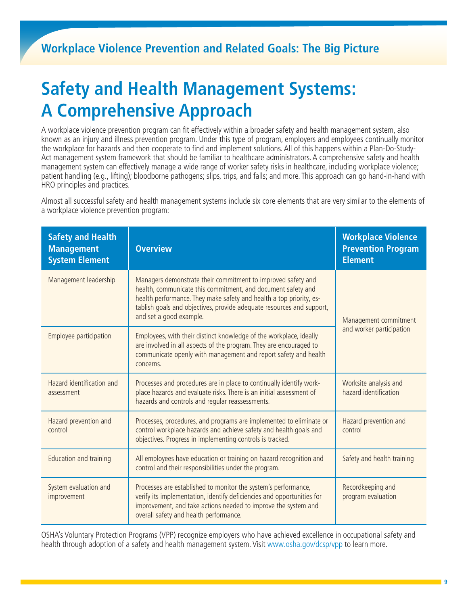# **Safety and Health Management Systems: A Comprehensive Approach**

A workplace violence prevention program can fit effectively within a broader safety and health management system, also known as an injury and illness prevention program. Under this type of program, employers and employees continually monitor the workplace for hazards and then cooperate to find and implement solutions. All of this happens within a Plan-Do-Study-Act management system framework that should be familiar to healthcare administrators. A comprehensive safety and health management system can effectively manage a wide range of worker safety risks in healthcare, including workplace violence; patient handling (e.g., lifting); bloodborne pathogens; slips, trips, and falls; and more. This approach can go hand-in-hand with HRO principles and practices.

Almost all successful safety and health management systems include six core elements that are very similar to the elements of a workplace violence prevention program:

| <b>Safety and Health</b><br><b>Management</b><br><b>System Element</b> | <b>Overview</b>                                                                                                                                                                                                                                                                                         | <b>Workplace Violence</b><br><b>Prevention Program</b><br><b>Element</b> |
|------------------------------------------------------------------------|---------------------------------------------------------------------------------------------------------------------------------------------------------------------------------------------------------------------------------------------------------------------------------------------------------|--------------------------------------------------------------------------|
| Management leadership                                                  | Managers demonstrate their commitment to improved safety and<br>health, communicate this commitment, and document safety and<br>health performance. They make safety and health a top priority, es-<br>tablish goals and objectives, provide adequate resources and support,<br>and set a good example. | Management commitment<br>and worker participation                        |
| Employee participation                                                 | Employees, with their distinct knowledge of the workplace, ideally<br>are involved in all aspects of the program. They are encouraged to<br>communicate openly with management and report safety and health<br>concerns.                                                                                |                                                                          |
| Hazard identification and<br>assessment                                | Processes and procedures are in place to continually identify work-<br>place hazards and evaluate risks. There is an initial assessment of<br>hazards and controls and regular reassessments.                                                                                                           | Worksite analysis and<br>hazard identification                           |
| Hazard prevention and<br>control                                       | Processes, procedures, and programs are implemented to eliminate or<br>control workplace hazards and achieve safety and health goals and<br>objectives. Progress in implementing controls is tracked.                                                                                                   | Hazard prevention and<br>control                                         |
| Education and training                                                 | All employees have education or training on hazard recognition and<br>control and their responsibilities under the program.                                                                                                                                                                             | Safety and health training                                               |
| System evaluation and<br>improvement                                   | Processes are established to monitor the system's performance,<br>verify its implementation, identify deficiencies and opportunities for<br>improvement, and take actions needed to improve the system and<br>overall safety and health performance.                                                    | Recordkeeping and<br>program evaluation                                  |

OSHA's Voluntary Protection Programs (VPP) recognize employers who have achieved excellence in occupational safety and health through adoption of a safety and health management system. Visit [www.osha.gov/dcsp/vpp](http://www.osha.gov/dcsp/vpp) to learn more.